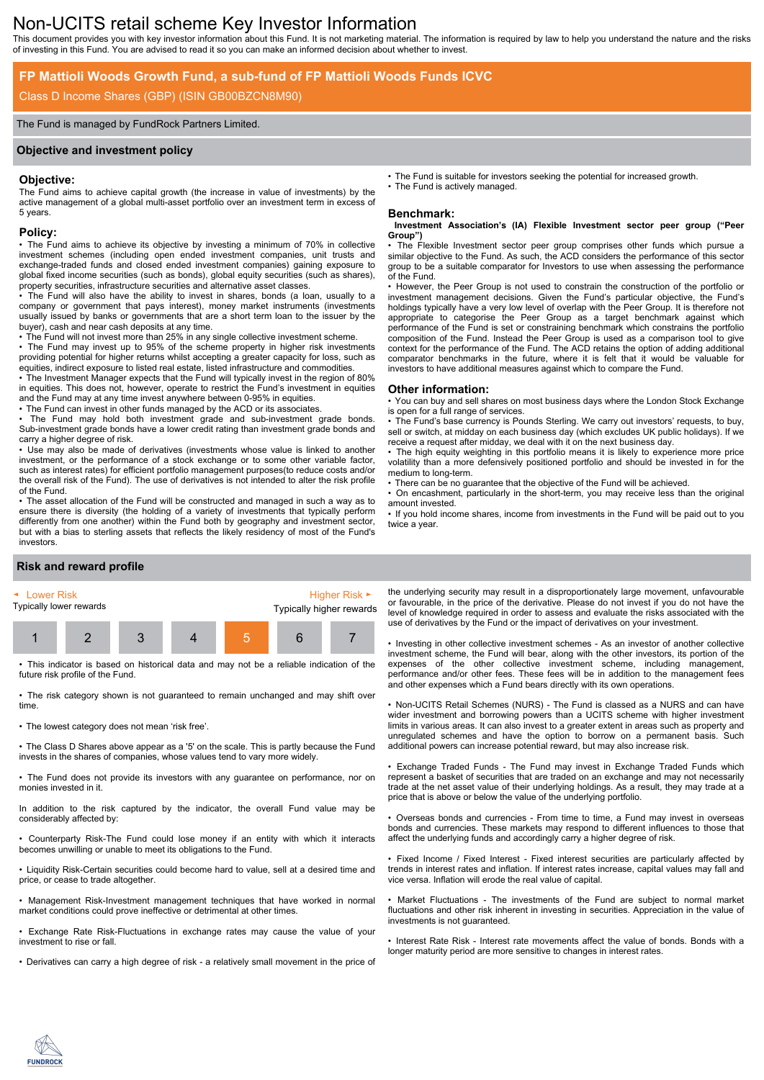# Non-UCITS retail scheme Key Investor Information

This document provides you with key investor information about this Fund. It is not marketing material. The information is required by law to help you understand the nature and the risks of investing in this Fund. You are advised to read it so you can make an informed decision about whether to invest.

## **FP Mattioli Woods Growth Fund, a sub-fund of FP Mattioli Woods Funds ICVC**

## Class D Income Shares (GBP) (ISIN GB00BZCN8M90)

#### The Fund is managed by FundRock Partners Limited.

#### **Objective and investment policy**

#### **Objective:**

The Fund aims to achieve capital growth (the increase in value of investments) by the active management of a global multi-asset portfolio over an investment term in excess of 5 years.

#### **Policy:**

• The Fund aims to achieve its objective by investing a minimum of 70% in collective investment schemes (including open ended investment companies, unit trusts and exchange-traded funds and closed ended investment companies) gaining exposure to global fixed income securities (such as bonds), global equity securities (such as shares), property securities, infrastructure securities and alternative asset classes.

• The Fund will also have the ability to invest in shares, bonds (a loan, usually to a company or government that pays interest), money market instruments (investments usually issued by banks or governments that are a short term loan to the issuer by the buyer), cash and near cash deposits at any time.

• The Fund will not invest more than 25% in any single collective investment scheme.

• The Fund may invest up to 95% of the scheme property in higher risk investments providing potential for higher returns whilst accepting a greater capacity for loss, such as equities, indirect exposure to listed real estate, listed infrastructure and commodities.

• The Investment Manager expects that the Fund will typically invest in the region of 80% in equities. This does not, however, operate to restrict the Fund's investment in equities and the Fund may at any time invest anywhere between 0-95% in equities.

• The Fund can invest in other funds managed by the ACD or its associates.

The Fund may hold both investment grade and sub-investment grade bonds. Sub-investment grade bonds have a lower credit rating than investment grade bonds and carry a higher degree of risk.

• Use may also be made of derivatives (investments whose value is linked to another investment, or the performance of a stock exchange or to some other variable factor, such as interest rates) for efficient portfolio management purposes(to reduce costs and/or the overall risk of the Fund). The use of derivatives is not intended to alter the risk profile of the Fund.

• The asset allocation of the Fund will be constructed and managed in such a way as to ensure there is diversity (the holding of a variety of investments that typically perform differently from one another) within the Fund both by geography and investment sector, but with a bias to sterling assets that reflects the likely residency of most of the Fund's investors.

• The Fund is suitable for investors seeking the potential for increased growth. The Fund is actively managed.

### **Benchmark:**

#### **Investment Association's (IA) Flexible Investment sector peer group ("Peer Group")**

The Flexible Investment sector peer group comprises other funds which pursue a similar objective to the Fund. As such, the ACD considers the performance of this sector group to be a suitable comparator for Investors to use when assessing the performance of the Fund.

• However, the Peer Group is not used to constrain the construction of the portfolio or investment management decisions. Given the Fund's particular objective, the Fund's holdings typically have a very low level of overlap with the Peer Group. It is therefore not appropriate to categorise the Peer Group as a target benchmark against which performance of the Fund is set or constraining benchmark which constrains the portfolio composition of the Fund. Instead the Peer Group is used as a comparison tool to give context for the performance of the Fund. The ACD retains the option of adding additional comparator benchmarks in the future, where it is felt that it would be valuable for investors to have additional measures against which to compare the Fund.

#### **Other information:**

• You can buy and sell shares on most business days where the London Stock Exchange is open for a full range of services.

• The Fund's base currency is Pounds Sterling. We carry out investors' requests, to buy, sell or switch, at midday on each business day (which excludes UK public holidays). If we receive a request after midday, we deal with it on the next business day.

• The high equity weighting in this portfolio means it is likely to experience more price volatility than a more defensively positioned portfolio and should be invested in for the medium to long-term.

There can be no guarantee that the objective of the Fund will be achieved.

• On encashment, particularly in the short-term, you may receive less than the original amount invested.

• If you hold income shares, income from investments in the Fund will be paid out to you twice a year.

## **Risk and reward profile**



• This indicator is based on historical data and may not be a reliable indication of the future risk profile of the Fund.

• The risk category shown is not guaranteed to remain unchanged and may shift over time.

• The lowest category does not mean 'risk free'.

• The Class D Shares above appear as a '5' on the scale. This is partly because the Fund invests in the shares of companies, whose values tend to vary more widely.

• The Fund does not provide its investors with any guarantee on performance, nor on monies invested in it.

In addition to the risk captured by the indicator, the overall Fund value may be considerably affected by:

• Counterparty Risk-The Fund could lose money if an entity with which it interacts becomes unwilling or unable to meet its obligations to the Fund.

• Liquidity Risk-Certain securities could become hard to value, sell at a desired time and price, or cease to trade altogether.

• Management Risk-Investment management techniques that have worked in normal market conditions could prove ineffective or detrimental at other times.

• Exchange Rate Risk-Fluctuations in exchange rates may cause the value of your investment to rise or fall.

• Derivatives can carry a high degree of risk - a relatively small movement in the price of

the underlying security may result in a disproportionately large movement, unfavourable or favourable, in the price of the derivative. Please do not invest if you do not have the level of knowledge required in order to assess and evaluate the risks associated with the use of derivatives by the Fund or the impact of derivatives on your investment.

• Investing in other collective investment schemes - As an investor of another collective investment scheme, the Fund will bear, along with the other investors, its portion of the expenses of the other collective investment scheme, including management, performance and/or other fees. These fees will be in addition to the management fees and other expenses which a Fund bears directly with its own operations.

• Non-UCITS Retail Schemes (NURS) - The Fund is classed as a NURS and can have wider investment and borrowing powers than a UCITS scheme with higher investment limits in various areas. It can also invest to a greater extent in areas such as property and unregulated schemes and have the option to borrow on a permanent basis. Such additional powers can increase potential reward, but may also increase risk.

• Exchange Traded Funds - The Fund may invest in Exchange Traded Funds which represent a basket of securities that are traded on an exchange and may not necessarily trade at the net asset value of their underlying holdings. As a result, they may trade at a price that is above or below the value of the underlying portfolio.

• Overseas bonds and currencies - From time to time, a Fund may invest in overseas bonds and currencies. These markets may respond to different influences to those that affect the underlying funds and accordingly carry a higher degree of risk.

• Fixed Income / Fixed Interest - Fixed interest securities are particularly affected by trends in interest rates and inflation. If interest rates increase, capital values may fall and vice versa. Inflation will erode the real value of capital.

• Market Fluctuations - The investments of the Fund are subject to normal market fluctuations and other risk inherent in investing in securities. Appreciation in the value of investments is not guaranteed.

• Interest Rate Risk - Interest rate movements affect the value of bonds. Bonds with a longer maturity period are more sensitive to changes in interest rates.